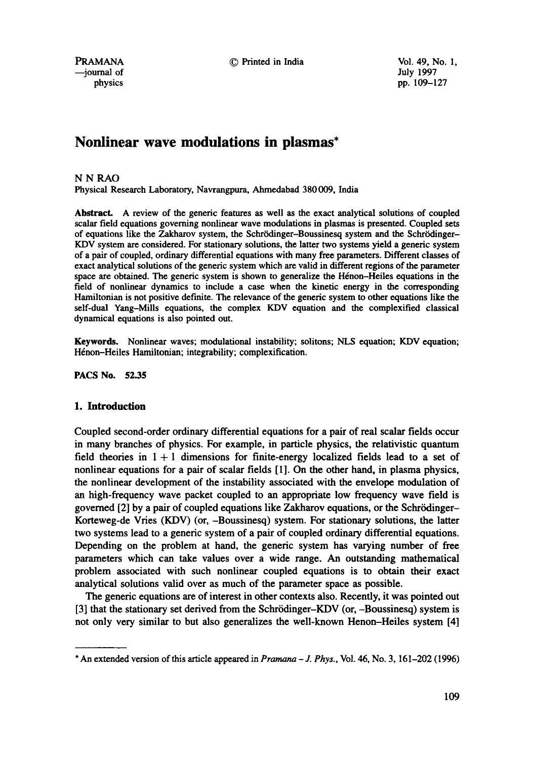--journal of July 1997

PRAMANA © Printed in India Vol. 49, No. 1,

# **Nonlinear wave modulations in plasmas\***

# NNRAO

Physical Research Laboratory, Navrangpura, Ahmedabad 380009, India

Abstract. A review of the generic features as well as the exact analytical solutions of coupled scalar field equations governing nonlinear wave modulations in plasmas is presented. Coupled sets of equations like the Zakharov system, the Schrödinger-Boussinesq system and the Schrödinger-KDV system are considered. For stationary solutions, the latter two systems yield a generic system of a pair of coupled, ordinary differential equations with many free parameters. Different classes of exact analytical solutions of the generic system which are valid in different regions of the parameter space are obtained. The generic system is shown to generalize the Hénon-Heiles equations in the field of nonlinear dynamics to include a case when the kinetic energy in the corresponding Hamiltonian is not positive definite. The relevance of the generic system to other equations like the self-dual Yang-Mills equations, the complex KDV equation and the complexified classical dynamical equations is also pointed out.

**Keywords.** Nonlinear waves; modulational instability; solitons; NLS equation; KDV equation; Hénon-Heiles Hamiltonian; integrability; complexification.

**PACS No. 52.35** 

# **1. Introduction**

Coupled second-order ordinary differential equations for a pair of real scalar fields occur in many branches of physics. For example, in particle physics, the relativistic quantum field theories in  $1 + 1$  dimensions for finite-energy localized fields lead to a set of nonlinear equations for a pair of scalar fields [1]. On the other hand, in plasma physics, the nonlinear development of the instability associated with the envelope modulation of an high-frequency wave packet coupled to an appropriate low frequency wave field is governed [2] by a pair of coupled equations like Zakharov equations, or the Schrödinger-Korteweg-de Vries (KDV) (or, -Boussinesq) system. For stationary solutions, the latter two systems lead to a generic system of a pair of coupled ordinary differential equations. Depending on the problem at hand, the generic system has varying number of free parameters which can take values over a wide range. An outstanding mathematical problem associated with such nonlinear coupled equations is to obtain their exact analytical solutions valid over as much of the parameter space as possible.

The generic equations are of interest in other contexts also. Recently, it was pointed out [3] that the stationary set derived from the Schrödinger-KDV (or,  $-$ Boussinesq) system is not only very similar to but also generalizes the well-known Henon-Heiles system [4]

<sup>\*</sup> An extended version of this article appeared in *Pramana- J. Phys.,* Vol. 46, No. 3, 161-202 (1996)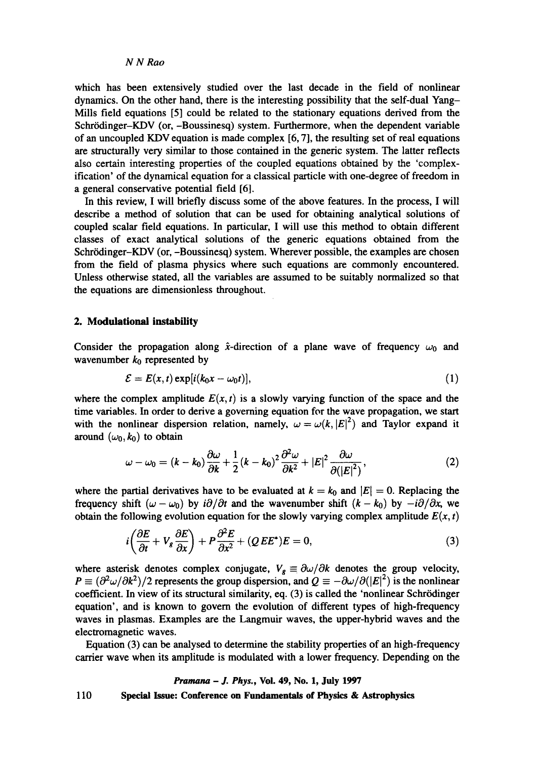which has been extensively studied over the last decade in the field of nonlinear dynamics. On the other hand, there is the interesting possibility that the self-dual Yang-Mills field equations [5] could be related to the stationary equations derived from the Schrödinger-KDV (or, -Boussinesq) system. Furthermore, when the dependent variable of an uncoupled KDV equation is made complex [6, 7], the resulting set of real equations are structurally very similar to those contained in the generic system. The latter reflects also certain interesting properties of the coupled equations obtained by the 'complexiflcation' of the dynamical equation for a classical particle with one-degree of freedom in a general conservative potential field [6].

In this review, I will briefly discuss some of the above features. In the process, I will describe a method of solution that can be used for obtaining analytical solutions of coupled scalar field equations. In particular, I will use this method to obtain different classes of exact analytical solutions of the generic equations obtained from the Schrödinger-KDV (or, -Boussinesq) system. Wherever possible, the examples are chosen from the field of plasma physics where such equations are commonly encountered. Unless otherwise stated, all the variables are assumed to be suitably normalized so that the equations are dimensionless throughout.

# **2. Modulational instability**

Consider the propagation along  $\hat{x}$ -direction of a plane wave of frequency  $\omega_0$  and wavenumber  $k_0$  represented by

$$
\mathcal{E} = E(x, t) \exp[i(k_0 x - \omega_0 t)], \qquad (1)
$$

where the complex amplitude  $E(x, t)$  is a slowly varying function of the space and the time variables. In order to derive a governing equation for the wave propagation, we start with the nonlinear dispersion relation, namely,  $\omega = \omega(k, |E|^2)$  and Taylor expand it around  $(\omega_0, k_0)$  to obtain

$$
\omega - \omega_0 = (k - k_0) \frac{\partial \omega}{\partial k} + \frac{1}{2} (k - k_0)^2 \frac{\partial^2 \omega}{\partial k^2} + |E|^2 \frac{\partial \omega}{\partial (|E|^2)},
$$
(2)

where the partial derivatives have to be evaluated at  $k = k_0$  and  $|E| = 0$ . Replacing the frequency shift  $(\omega - \omega_0)$  by  $i\partial/\partial t$  and the wavenumber shift  $(k - k_0)$  by  $-i\partial/\partial x$ , we obtain the following evolution equation for the slowly varying complex amplitude  $E(x, t)$ 

$$
i\left(\frac{\partial E}{\partial t} + V_g \frac{\partial E}{\partial x}\right) + P \frac{\partial^2 E}{\partial x^2} + (QEE^*)E = 0,
$$
\n(3)

where asterisk denotes complex conjugate,  $V_g \equiv \partial \omega / \partial k$  denotes the group velocity,  $P = (\partial^2 \omega / \partial k^2)/2$  represents the group dispersion, and  $Q = -\partial \omega / \partial (|E|^2)$  is the nonlinear coefficient. In view of its structural similarity, eq. (3) is called the 'nonlinear Schrödinger equation', and is known to govern the evolution of different types of high-frequency waves in plasmas. Examples are the Langmuir waves, the upper-hybrid waves and the electromagnetic waves.

Equation (3) can be analysed to determine the stability properties of an high-frequency carrier wave when its amplitude is modulated with a lower frequency. Depending on the

### *Pramana - J. Phys.,* **Vol. 49, No. 1, July 1997**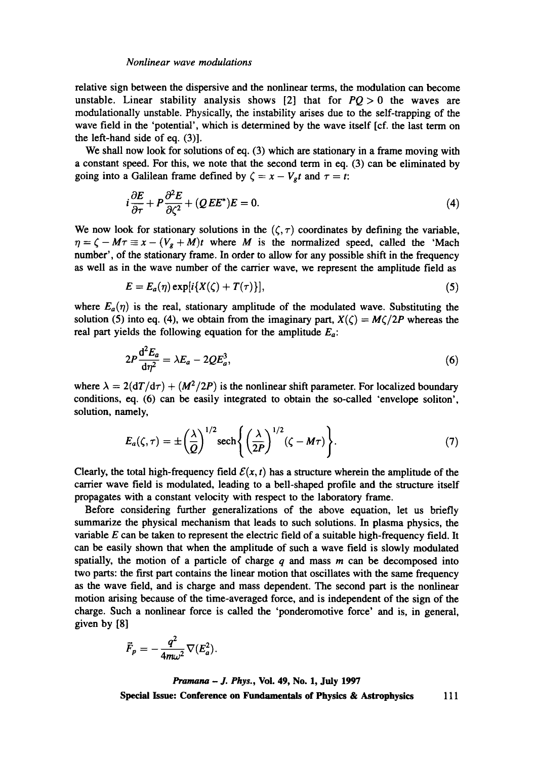relative sign between the dispersive and the nonlinear terms, the modulation can become unstable. Linear stability analysis shows [2] that for  $PQ > 0$  the waves are modnlationally unstable. Physically, the instability arises due to the self-trapping of the wave field in the 'potential', which is determined by the wave itself [cf. the last term on the left-hand side of eq. (3)].

We shall now look for solutions of eq. (3) which are stationary in a frame moving with a constant speed. For this, we note that the second term in eq. (3) can be eliminated by going into a Galilean frame defined by  $\zeta = x - V_g t$  and  $\tau = t$ :

$$
i\frac{\partial E}{\partial \tau} + P \frac{\partial^2 E}{\partial \zeta^2} + (QEE^*)E = 0.
$$
 (4)

We now look for stationary solutions in the  $(\zeta, \tau)$  coordinates by defining the variable,  $\eta = \zeta - M\tau \equiv x - (V_g + M)t$  where *M* is the normalized speed, called the 'Mach number', of the stationary frame. In order to allow for any possible shift in the frequency as well as in the wave number of the carrier wave, we represent the amplitude field as

$$
E = E_a(\eta) \exp[i\{X(\zeta) + T(\tau)\}], \tag{5}
$$

where  $E_a(\eta)$  is the real, stationary amplitude of the modulated wave. Substituting the solution (5) into eq. (4), we obtain from the imaginary part,  $X(\zeta) = M\zeta/2P$  whereas the real part yields the following equation for the amplitude *Ea:* 

$$
2P\frac{\mathrm{d}^2E_a}{\mathrm{d}\eta^2} = \lambda E_a - 2QE_a^3,\tag{6}
$$

where  $\lambda = 2(dT/d\tau) + (M^2/2P)$  is the nonlinear shift parameter. For localized boundary conditions, eq. (6) can be easily integrated to obtain the so-called 'envelope soliton', solution, namely,

$$
E_a(\zeta,\tau)=\pm\left(\frac{\lambda}{Q}\right)^{1/2}\mathrm{sech}\left\{\left(\frac{\lambda}{2P}\right)^{1/2}(\zeta-M\tau)\right\}.
$$
 (7)

Clearly, the total high-frequency field  $\mathcal{E}(x, t)$  has a structure wherein the amplitude of the carrier wave field is modulated, leading to a bell-shaped profile and the structure itself propagates with a constant velocity with respect to the laboratory frame.

Before considering further generalizations of the above equation, let us briefly summarize the physical mechanism that leads to such solutions. In plasma physics, the variable  $E$  can be taken to represent the electric field of a suitable high-frequency field. It can be easily shown that when the amplitude of such a wave field is slowly modulated spatially, the motion of a particle of charge  $q$  and mass m can be decomposed into two parts: the first part contains the linear motion that oscillates with the same frequency as the wave field, and is charge and mass dependent. The second part is the nonlinear motion arising because of the time-averaged force, and is independent of the sign of the charge. Such a nonlinear force is called the 'ponderomotive force' and is, in general, given by [8]

$$
\vec{F}_p = -\frac{q^2}{4m\omega^2}\nabla(E_a^2).
$$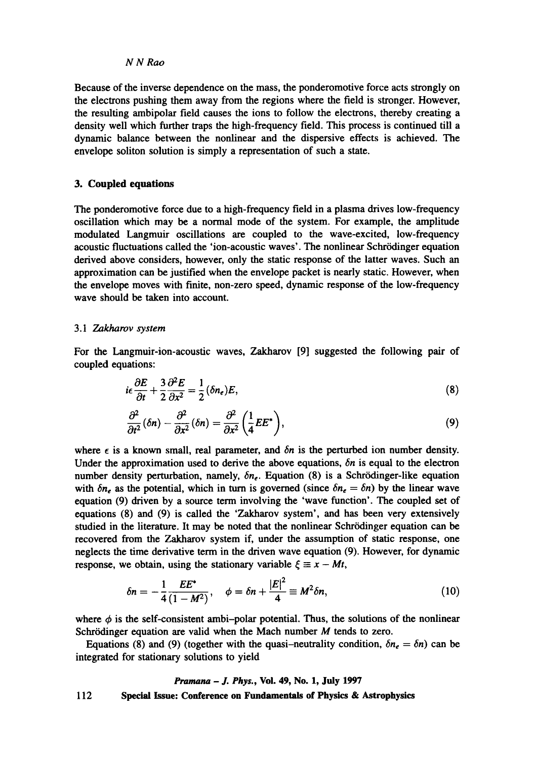Because of the inverse dependence on the mass, the ponderomotive force acts strongly on the electrons pushing them away from the regions where the field is stronger. However, the resulting ambipolar field causes the ions to follow the electrons, thereby creating a density well which further traps the high-frequency field. This process is continued till a dynamic balance between the nonlinear and the dispersive effects is achieved. The envelope soliton solution is simply a representation of such a state.

# **3. Coupled equations**

The ponderomotive force due to a high-frequency field in a plasma drives low-frequency oscillation which may be a normal mode of the system. For example, the amplitude modulated Langmuir oscillations are coupled to the wave-excited, low-frequency acoustic fluctuations called the 'ion-acoustic waves'. The nonlinear Schrödinger equation derived above considers, however, only the static response of the latter waves. Such an approximation can be justified when the envelope packet is nearly static. However, when the envelope moves with finite, non-zero speed, dynamic response of the low-frequency wave should be taken into account.

# *3.1 Zakharov system*

For the Langmuir-ion-acoustic waves, Zakharov [9] suggested the following pair of coupled equations:

$$
i\epsilon \frac{\partial E}{\partial t} + \frac{3}{2} \frac{\partial^2 E}{\partial x^2} = \frac{1}{2} (\delta n_e) E, \tag{8}
$$

$$
\frac{\partial^2}{\partial t^2}(\delta n) - \frac{\partial^2}{\partial x^2}(\delta n) = \frac{\partial^2}{\partial x^2} \left(\frac{1}{4} E E^*\right),\tag{9}
$$

where  $\epsilon$  is a known small, real parameter, and  $\delta n$  is the perturbed ion number density. Under the approximation used to derive the above equations, *6n* is equal to the electron number density perturbation, namely,  $\delta n_e$ . Equation (8) is a Schrödinger-like equation with  $\delta n_e$  as the potential, which in turn is governed (since  $\delta n_e = \delta n$ ) by the linear wave equation (9) driven by a source term involving the 'wave function'. The coupled set of equations (8) and (9) is called the 'Zakharov system', and has been very extensively studied in the literature. It may be noted that the nonlinear Schr6dinger equation can be recovered from the Zakharov system if, under the assumption of static response, one neglects the time derivative term in the driven wave equation (9). However, for dynamic response, we obtain, using the stationary variable  $\xi \equiv x - Mt$ ,

$$
\delta n = -\frac{1}{4} \frac{EE^*}{(1-M^2)}, \quad \phi = \delta n + \frac{|E|^2}{4} \equiv M^2 \delta n, \tag{10}
$$

where  $\phi$  is the self-consistent ambi-polar potential. Thus, the solutions of the nonlinear Schrödinger equation are valid when the Mach number  $M$  tends to zero.

Equations (8) and (9) (together with the quasi-neutrality condition,  $\delta n_e = \delta n$ ) can be integrated for stationary solutions to yield

112 *Pramana - J. Phys.,* Vol. 49, No. 1, July 1997 Special **Issue: Conference on Fundamentals of Physics & Astrophysics**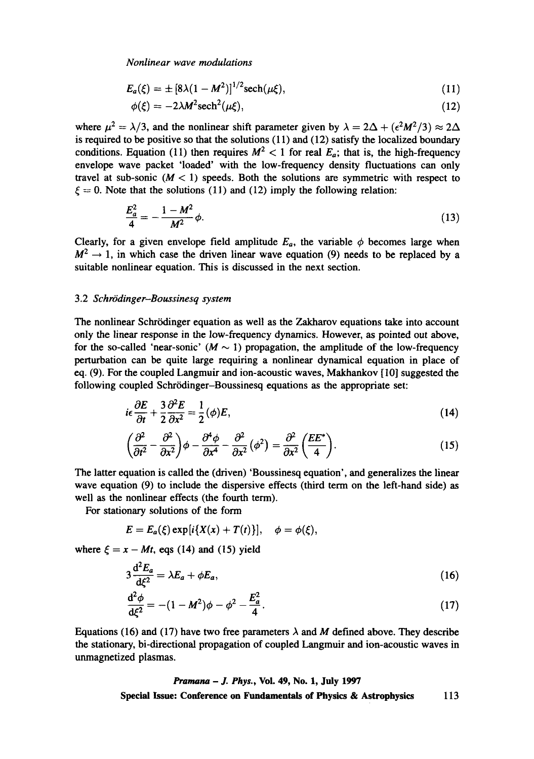$$
E_a(\xi) = \pm [8\lambda (1 - M^2)]^{1/2} \text{sech}(\mu \xi), \tag{11}
$$

$$
\phi(\xi) = -2\lambda M^2 \mathrm{sech}^2(\mu\xi),\tag{12}
$$

where  $\mu^2 = \lambda/3$ , and the nonlinear shift parameter given by  $\lambda = 2\Delta + (\epsilon^2 M^2/3) \approx 2\Delta$ is required to be positive so that the solutions (11) and (12) satisfy the localized boundary conditions. Equation (11) then requires  $M^2 < 1$  for real  $E_a$ ; that is, the high-frequency envelope wave packet 'loaded' with the low-frequency density fluctuations can only travel at sub-sonic  $(M < 1)$  speeds. Both the solutions are symmetric with respect to  $\xi = 0$ . Note that the solutions (11) and (12) imply the following relation:

$$
\frac{E_a^2}{4} = -\frac{1 - M^2}{M^2} \phi.
$$
 (13)

Clearly, for a given envelope field amplitude  $E_a$ , the variable  $\phi$  becomes large when  $M^2 \rightarrow 1$ , in which case the driven linear wave equation (9) needs to be replaced by a suitable nonlinear equation. This is discussed in the next section.

# 3.2 *Schro'dinger-Boussinesq system*

The nonlinear Schrödinger equation as well as the Zakharov equations take into account only the linear response in the low-frequency dynamics. However, as pointed out above, for the so-called 'near-sonic' ( $M \sim 1$ ) propagation, the amplitude of the low-frequency perturbation can be quite large requiring a nonlinear dynamical equation in place of eq. (9). For the coupled Langmuir and ion-acoustic waves, Makhankov [10] suggested the following coupled Schrödinger-Boussinesq equations as the appropriate set:

$$
i\epsilon \frac{\partial E}{\partial t} + \frac{3}{2} \frac{\partial^2 E}{\partial x^2} = \frac{1}{2} (\phi) E, \tag{14}
$$

$$
\left(\frac{\partial^2}{\partial t^2} - \frac{\partial^2}{\partial x^2}\right)\phi - \frac{\partial^4 \phi}{\partial x^4} - \frac{\partial^2}{\partial x^2}(\phi^2) = \frac{\partial^2}{\partial x^2} \left(\frac{EE^*}{4}\right). \tag{15}
$$

The latter equation is called the (driven) 'Boussinesq equation', and generalizes the linear wave equation (9) to include the dispersive effects (third term on the left-hand side) as well as the nonlinear effects (the fourth term).

For stationary solutions of the form

$$
E=E_a(\xi)\exp[i\{X(x)+T(t)\}], \phi=\phi(\xi),
$$

where  $\xi = x - Mt$ , eqs (14) and (15) yield

$$
3\frac{\mathrm{d}^2 E_a}{\mathrm{d}\xi^2} = \lambda E_a + \phi E_a,\tag{16}
$$

$$
\frac{d^2\phi}{d\xi^2} = -(1-M^2)\phi - \phi^2 - \frac{E_a^2}{4}.
$$
\n(17)

Equations (16) and (17) have two free parameters  $\lambda$  and M defined above. They describe the stationary, bi-directional propagation of coupled Langmuir and ion-acoustic waves in unmagnetized plasmas.

*Pramana - J. Phys.,* **Vol. 49, No. 1, July 1997 Special Issue: Conference on Fundamentals of Physics & Astrophysics** 113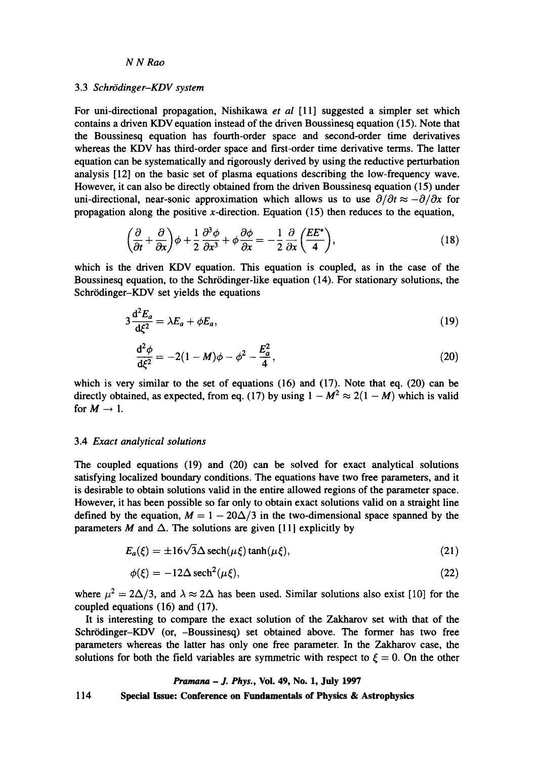# 3.3 Schrödinger-KDV system

For uni-directional propagation, Nishikawa *et al* [11] suggested a simpler set which contains a driven KDV equation instead of the driven Boussinesq equation (15). Note that the Boussinesq equation has fourth-order space and second-order time derivatives whereas the KDV has third-order space and first-order time derivative terms. The latter equation can be systematically and rigorously derived by using the reductive perturbation analysis [12] on the basic set of plasma equations describing the low-frequency wave. However, it can also be directly obtained from the driven Boussinesq equation (15) under uni-directional, near-sonic approximation which allows us to use  $\partial/\partial t \approx -\partial/\partial x$  for propagation along the positive x-direction. Equation  $(15)$  then reduces to the equation,

$$
\left(\frac{\partial}{\partial t} + \frac{\partial}{\partial x}\right)\phi + \frac{1}{2}\frac{\partial^3 \phi}{\partial x^3} + \phi \frac{\partial \phi}{\partial x} = -\frac{1}{2}\frac{\partial}{\partial x}\left(\frac{EE^*}{4}\right),\tag{18}
$$

which is the driven KDV equation. This equation is coupled, as in the case of the Boussinesq equation, to the Schrödinger-like equation (14). For stationary solutions, the Schrödinger-KDV set yields the equations

$$
3\frac{\mathrm{d}^2 E_a}{\mathrm{d}\xi^2} = \lambda E_a + \phi E_a,\tag{19}
$$

$$
\frac{d^2\phi}{d\xi^2} = -2(1-M)\phi - \phi^2 - \frac{E_a^2}{4},\tag{20}
$$

which is very similar to the set of equations (16) and (17). Note that eq. (20) can be directly obtained, as expected, from eq. (17) by using  $1 - M^2 \approx 2(1 - M)$  which is valid for  $M \rightarrow 1$ .

# 3.4 *Exact analytical solutions*

The coupled equations (19) and (20) can be solved for exact analytical solutions satisfying localized boundary conditions. The equations have two free parameters, and it is desirable to obtain solutions valid in the entire allowed regions of the parameter space. However, it has been possible so far only to obtain exact solutions valid on a straight line defined by the equation,  $M = 1 - 20\Delta/3$  in the two-dimensional space spanned by the parameters M and  $\Delta$ . The solutions are given [11] explicitly by

$$
E_a(\xi) = \pm 16\sqrt{3}\Delta \operatorname{sech}(\mu\xi)\tanh(\mu\xi),\tag{21}
$$

$$
\phi(\xi) = -12\Delta \operatorname{sech}^2(\mu\xi),\tag{22}
$$

where  $\mu^2 = 2\Delta/3$ , and  $\lambda \approx 2\Delta$  has been used. Similar solutions also exist [10] for the coupled equations (16) and (17).

It is interesting to compare the exact solution of the Zakharov set with that of the Schrrdinger-KDV (or, -Boussinesq) set obtained above. The former has two free parameters whereas the latter has only one free parameter. In the Zakharov case, the solutions for both the field variables are symmetric with respect to  $\xi = 0$ . On the other

### *Pramana - J. Phys.,* **Voi. 49, No. 1, July 1997**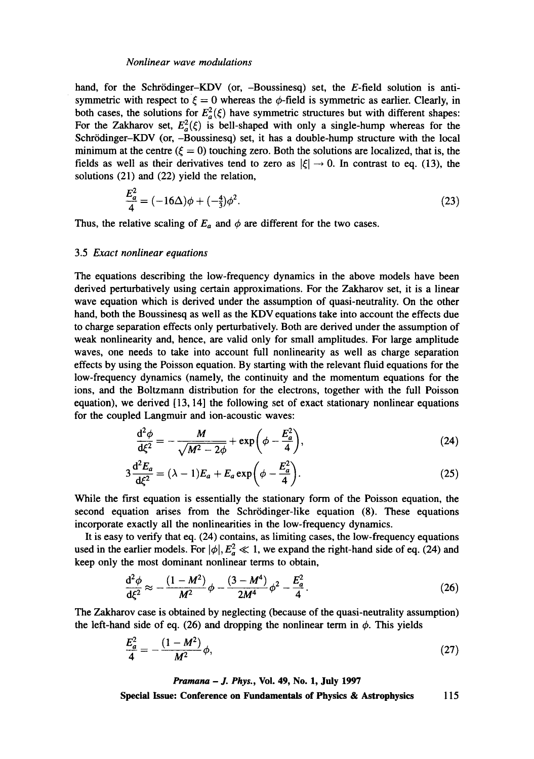hand, for the Schrödinger-KDV (or, -Boussinesq) set, the E-field solution is antisymmetric with respect to  $\zeta = 0$  whereas the  $\phi$ -field is symmetric as earlier. Clearly, in both cases, the solutions for  $E_a^2(\xi)$  have symmetric structures but with different shapes: For the Zakharov set,  $E_a^2(\xi)$  is bell-shaped with only a single-hump whereas for the Schrrdinger-KDV (or, -Boussinesq) set, it has a double-hump structure with the local minimum at the centre ( $\xi = 0$ ) touching zero. Both the solutions are localized, that is, the fields as well as their derivatives tend to zero as  $|\xi| \rightarrow 0$ . In contrast to eq. (13), the solutions (21) and (22) yield the relation,

$$
\frac{E_a^2}{4} = (-16\Delta)\phi + (-\frac{4}{3})\phi^2.
$$
 (23)

Thus, the relative scaling of  $E_a$  and  $\phi$  are different for the two cases.

### 3.5 *Exact nonlinear equations*

The equations describing the low-frequency dynamics in the above models have been derived perturbatively using certain approximations. For the Zakharov set, it is a linear wave equation which is derived under the assumption of quasi-neutrality. On the other hand, both the Boussinesq as well as the KDV equations take into account the effects due to charge separation effects only perturbatively. Both are derived under the assumption of weak nonlinearity and, hence, are valid only for small amplitudes. For large amplitude waves, one needs to take into account full nonlinearity as well as charge separation effects by using the Poisson equation. By starting with the relevant fluid equations for the low-frequency dynamics (namely, the continuity and the momentum equations for the ions, and the Boltzmann distribution for the electrons, together with the full Poisson equation), we derived [13, 14] the following set of exact stationary nonlinear equations for the coupled Langmuir and ion-acoustic waves:

$$
\frac{\mathrm{d}^2 \phi}{\mathrm{d}\xi^2} = -\frac{M}{\sqrt{M^2 - 2\phi}} + \exp\left(\phi - \frac{E_a^2}{4}\right),\tag{24}
$$

$$
3\frac{\mathrm{d}^2 E_a}{\mathrm{d}\xi^2} = (\lambda - 1)E_a + E_a \exp\left(\phi - \frac{E_a^2}{4}\right). \tag{25}
$$

While the first equation is essentially the stationary form of the Poisson equation, the second equation arises from the Schrödinger-like equation (8). These equations incorporate exactly all the nonlinearities in the low-frequency dynamics.

It is easy to verify that eq. (24) contains, as limiting cases, the low-frequency equations used in the earlier models. For  $|\phi|, E_a^2 \ll 1$ , we expand the right-hand side of eq. (24) and keep only the most dominant nonlinear terms to obtain,

$$
\frac{d^2\phi}{d\xi^2} \approx -\frac{(1-M^2)}{M^2}\phi - \frac{(3-M^4)}{2M^4}\phi^2 - \frac{E_a^2}{4}.
$$
 (26)

The Zakharov case is obtained by neglecting (because of the quasi-neutrality assumption) the left-hand side of eq. (26) and dropping the nonlinear term in  $\phi$ . This yields

$$
\frac{E_a^2}{4} = -\frac{(1 - M^2)}{M^2} \phi,\tag{27}
$$

*Pramana - J. Phys.,* **Vol. 49, No. 1, July 1997**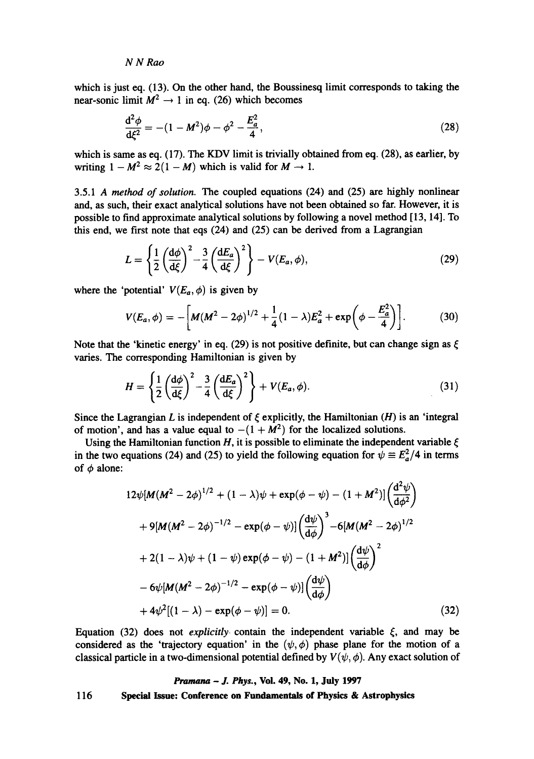which is just eq. (13). On the other hand, the Boussinesq limit corresponds to taking the near-sonic limit  $M^2 \rightarrow 1$  in eq. (26) which becomes

$$
\frac{d^2\phi}{d\xi^2} = -(1 - M^2)\phi - \phi^2 - \frac{E_a^2}{4},\qquad(28)
$$

which is same as eq. (17). The KDV limit is trivially obtained from eq. (28), as earlier, by writing  $1 - M^2 \approx 2(1 - M)$  which is valid for  $M \rightarrow 1$ .

3.5.1 *A method of solution. The* coupled equations (24) and (25) are highly nonlinear and, as such, their exact analytical solutions have not been obtained so far. However, it is possible to find approximate analytical solutions by following a novel method [13, 14]. To this end, we first note that eqs (24) and (25) can be derived from a Lagrangian

$$
L = \left\{ \frac{1}{2} \left( \frac{d\phi}{d\xi} \right)^2 - \frac{3}{4} \left( \frac{dE_a}{d\xi} \right)^2 \right\} - V(E_a, \phi), \tag{29}
$$

where the 'potential'  $V(E_a, \phi)$  is given by

$$
V(E_a, \phi) = -\bigg[M(M^2 - 2\phi)^{1/2} + \frac{1}{4}(1 - \lambda)E_a^2 + \exp\bigg(\phi - \frac{E_a^2}{4}\bigg)\bigg].
$$
 (30)

Note that the 'kinetic energy' in eq. (29) is not positive definite, but can change sign as  $\xi$ varies. The corresponding Hamiltonian is given by

$$
H = \left\{ \frac{1}{2} \left( \frac{d\phi}{d\xi} \right)^2 - \frac{3}{4} \left( \frac{dE_a}{d\xi} \right)^2 \right\} + V(E_a, \phi).
$$
 (31)

Since the Lagrangian L is independent of  $\xi$  explicitly, the Hamiltonian (H) is an 'integral of motion', and has a value equal to  $-(1 + M^2)$  for the localized solutions.

Using the Hamiltonian function H, it is possible to eliminate the independent variable  $\xi$ in the two equations (24) and (25) to yield the following equation for  $\psi = E_a^2/4$  in terms of  $\phi$  alone:

$$
12\psi[M(M^{2} - 2\phi)^{1/2} + (1 - \lambda)\psi + \exp(\phi - \psi) - (1 + M^{2})]\left(\frac{d^{2}\psi}{d\phi^{2}}\right)
$$
  
+9[M(M^{2} - 2\phi)^{-1/2} - \exp(\phi - \psi)]\left(\frac{d\psi}{d\phi}\right)^{3} - 6[M(M^{2} - 2\phi)^{1/2}  
+2(1 - \lambda)\psi + (1 - \psi)\exp(\phi - \psi) - (1 + M^{2})]\left(\frac{d\psi}{d\phi}\right)^{2}  
-6\psi[M(M^{2} - 2\phi)^{-1/2} - \exp(\phi - \psi)]\left(\frac{d\psi}{d\phi}\right)  
+4\psi^{2}[(1 - \lambda) - \exp(\phi - \psi)] = 0. \tag{32}

Equation (32) does not *explicitly* contain the independent variable  $\xi$ , and may be considered as the 'trajectory equation' in the  $(\psi, \phi)$  phase plane for the motion of a classical particle in a two-dimensional potential defined by  $V(\psi, \phi)$ . Any exact solution of

#### *Pramana - J. Phys.,* **Vol. 49, No. 1, July 1997**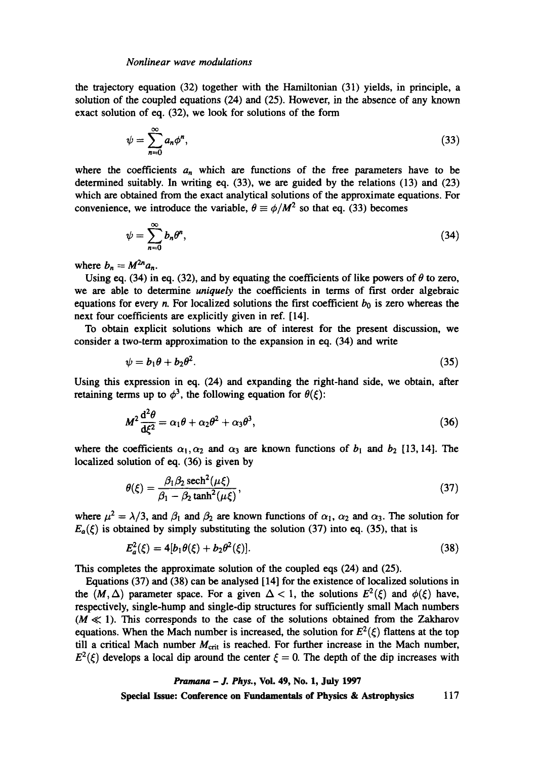the trajectory equation (32) together with the Hamiltonian (31) yields, in principle, a solution of the coupled equations (24) and (25). However, in the absence of any known exact solution of eq. (32), we look for solutions of the form

$$
\psi = \sum_{n=0}^{\infty} a_n \phi^n, \tag{33}
$$

where the coefficients  $a_n$  which are functions of the free parameters have to be determined suitably. In writing eq. (33), we are guided by the relations (13) and (23) which are obtained from the exact analytical solutions of the approximate equations. For convenience, we introduce the variable,  $\theta \equiv \phi/M^2$  so that eq. (33) becomes

$$
\psi = \sum_{n=0}^{\infty} b_n \theta^n, \tag{34}
$$

where  $b_n = M^{2n} a_n$ .

Using eq. (34) in eq. (32), and by equating the coefficients of like powers of  $\theta$  to zero, we are able to determine *uniquely the* coefficients in terms of first order algebraic equations for every n. For localized solutions the first coefficient  $b_0$  is zero whereas the next four coefficients are explicitly given in ref. [14].

To obtain explicit solutions which are of interest for the present discussion, we consider a two-term approximation to the expansion in eq. (34) and write

$$
\psi = b_1 \theta + b_2 \theta^2. \tag{35}
$$

Using this expression in eq. (24) and expanding the right-hand side, we obtain, after retaining terms up to  $\phi^3$ , the following equation for  $\theta(\xi)$ :

$$
M^2 \frac{\mathrm{d}^2 \theta}{\mathrm{d}\xi^2} = \alpha_1 \theta + \alpha_2 \theta^2 + \alpha_3 \theta^3, \tag{36}
$$

where the coefficients  $\alpha_1, \alpha_2$  and  $\alpha_3$  are known functions of  $b_1$  and  $b_2$  [13, 14]. The localized solution of eq. (36) is given by

$$
\theta(\xi) = \frac{\beta_1 \beta_2 \operatorname{sech}^2(\mu \xi)}{\beta_1 - \beta_2 \tanh^2(\mu \xi)},
$$
\n(37)

where  $\mu^2 = \lambda/3$ , and  $\beta_1$  and  $\beta_2$  are known functions of  $\alpha_1$ ,  $\alpha_2$  and  $\alpha_3$ . The solution for  $E_a(\xi)$  is obtained by simply substituting the solution (37) into eq. (35), that is

$$
E_a^2(\xi) = 4[b_1 \theta(\xi) + b_2 \theta^2(\xi)].
$$
\n(38)

This completes the approximate solution of the coupled eqs (24) and (25).

Equations (37) and (38) can be analysed [14] for the existence of localized solutions in the  $(M, \Delta)$  parameter space. For a given  $\Delta < 1$ , the solutions  $E^2(\xi)$  and  $\phi(\xi)$  have, respectively, single-hump and single-dip structures for sufficiently small Mach numbers  $(M \ll 1)$ . This corresponds to the case of the solutions obtained from the Zakharov equations. When the Mach number is increased, the solution for  $E^2(\xi)$  flattens at the top till a critical Mach number  $M_{\text{crit}}$  is reached. For further increase in the Mach number,  $E^2(\xi)$  develops a local dip around the center  $\xi = 0$ . The depth of the dip increases with

### *Pramana - J. Phys.,* Vol. 49, No. 1, July 1997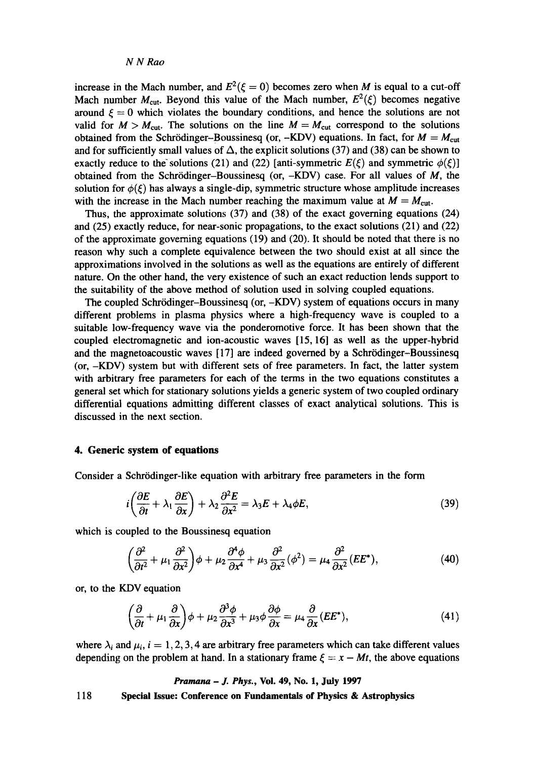increase in the Mach number, and  $E^2(\xi = 0)$  becomes zero when M is equal to a cut-off Mach number  $M_{\text{cut}}$ . Beyond this value of the Mach number,  $E^2(\xi)$  becomes negative around  $\xi = 0$  which violates the boundary conditions, and hence the solutions are not valid for  $M > M_{\text{cut}}$ . The solutions on the line  $M = M_{\text{cut}}$  correspond to the solutions obtained from the Schrödinger-Boussinesq (or, -KDV) equations. In fact, for  $M = M_{\text{cut}}$ and for sufficiently small values of  $\Delta$ , the explicit solutions (37) and (38) can be shown to exactly reduce to the solutions (21) and (22) [anti-symmetric  $E(\xi)$  and symmetric  $\phi(\xi)$ ] obtained from the Schrödinger-Boussinesq (or,  $-KDV$ ) case. For all values of  $M$ , the solution for  $\phi(\xi)$  has always a single-dip, symmetric structure whose amplitude increases with the increase in the Mach number reaching the maximum value at  $M = M_{\text{cut}}$ .

Thus, the approximate solutions (37) and (38) of the exact governing equations (24) and (25) exactly reduce, for near-sonic propagations, to the exact solutions (21) and (22) of the approximate governing equations (19) and (20). It should be noted that there is no reason why such a complete equivalence between the two should exist at all since the approximations involved in the solutions as well as the equations are entirely of different nature. On the other hand, the very existence of such an exact reduction lends support to the suitability of the above method of solution used in solving coupled equations.

The coupled Schrödinger-Boussinesq (or, -KDV) system of equations occurs in many different problems in plasma physics where a high-frequency wave is coupled to a suitable low-frequency wave via the ponderomotive force. It has been shown that the coupled electromagnetic and ion-acoustic waves [15, 16] as well as the upper-hybrid and the magnetoacoustic waves  $[17]$  are indeed governed by a Schrödinger-Boussinesq (or, -KDV) system but with different sets of free parameters. In fact, the latter system with arbitrary free parameters for each of the terms in the two equations constitutes a general set which for stationary solutions yields a generic system of two coupled ordinary differential equations admitting different classes of exact analytical solutions. This is discussed in the next section.

# **4. Generic system of equations**

Consider a Schrödinger-like equation with arbitrary free parameters in the form

$$
i\left(\frac{\partial E}{\partial t} + \lambda_1 \frac{\partial E}{\partial x}\right) + \lambda_2 \frac{\partial^2 E}{\partial x^2} = \lambda_3 E + \lambda_4 \phi E,\tag{39}
$$

which is coupled to the Boussinesq equation

$$
\left(\frac{\partial^2}{\partial t^2} + \mu_1 \frac{\partial^2}{\partial x^2}\right)\phi + \mu_2 \frac{\partial^4 \phi}{\partial x^4} + \mu_3 \frac{\partial^2}{\partial x^2}(\phi^2) = \mu_4 \frac{\partial^2}{\partial x^2} (EE^*),\tag{40}
$$

or, to the KDV equation

$$
\left(\frac{\partial}{\partial t} + \mu_1 \frac{\partial}{\partial x}\right)\phi + \mu_2 \frac{\partial^3 \phi}{\partial x^3} + \mu_3 \phi \frac{\partial \phi}{\partial x} = \mu_4 \frac{\partial}{\partial x}(EE^*),\tag{41}
$$

where  $\lambda_i$  and  $\mu_i$ ,  $i = 1, 2, 3, 4$  are arbitrary free parameters which can take different values depending on the problem at hand. In a stationary frame  $\xi = x - Mt$ , the above equations

#### *Pramana - J. Phys.,* Vol. 49, No. 1, July 1997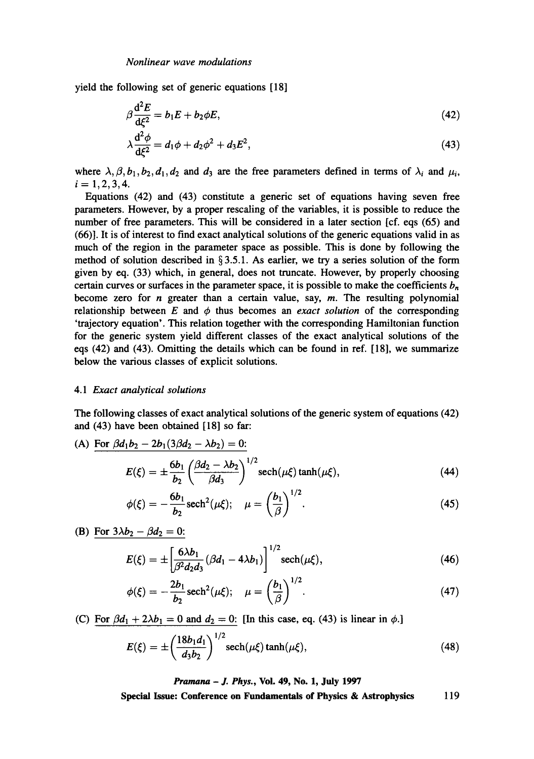yield the following set of generic equations [18]

$$
\beta \frac{\mathrm{d}^2 E}{\mathrm{d}\xi^2} = b_1 E + b_2 \phi E,\tag{42}
$$

$$
\lambda \frac{d^2 \phi}{d\xi^2} = d_1 \phi + d_2 \phi^2 + d_3 E^2, \tag{43}
$$

where  $\lambda, \beta, b_1, b_2, d_1, d_2$  and  $d_3$  are the free parameters defined in terms of  $\lambda_i$  and  $\mu_i$ ,  $i= 1, 2, 3, 4.$ 

Equations (42) and (43) constitute a generic set of equations having seven free parameters. However, by a proper rescaling of the variables, it is possible to reduce the number of free parameters. This will be considered in a later section [cf. eqs (65) and (66)]. It is of interest to find exact analytical solutions of the generic equations valid in as much of the region in the parameter space as possible. This is done by following the method of solution described in  $\S 3.5.1$ . As earlier, we try a series solution of the form given by eq. (33) which, in general, does not truncate. However, by properly choosing certain curves or surfaces in the parameter space, it is possible to make the coefficients  $b_n$ become zero for *n* greater than a certain value, say,  $m$ . The resulting polynomial relationship between  $E$  and  $\phi$  thus becomes an *exact solution* of the corresponding 'trajectory equation'. This relation together with the corresponding Hamiltonian function for the generic system yield different classes of the exact analytical solutions of the eqs (42) and (43). Omitting the details which can be found in ref. [18], we summarize below the various classes of explicit solutions.

### *4.1 Exact analytical solutions*

The following classes of exact analytical solutions of the generic system of equations (42) and (43) have been obtained [18] so far:

(A) For 
$$
\beta d_1 b_2 - 2b_1(3\beta d_2 - \lambda b_2) = 0
$$
:  

$$
E(\xi) = \pm \frac{6b_1}{b_2} \left(\frac{\beta d_2 - \lambda b_2}{\beta d_3}\right)^{1/2} \operatorname{sech}(\mu \xi) \tanh(\mu \xi), \tag{44}
$$

$$
\phi(\xi) = -\frac{6b_1}{b_2} \text{sech}^2(\mu \xi); \quad \mu = \left(\frac{b_1}{\beta}\right)^{1/2}.
$$
 (45)

(B) For  $3\lambda b_2 - \beta d_2 = 0$ :

$$
E(\xi) = \pm \left[ \frac{6\lambda b_1}{\beta^2 d_2 d_3} (\beta d_1 - 4\lambda b_1) \right]^{1/2} \operatorname{sech}(\mu \xi), \tag{46}
$$

$$
\phi(\xi) = -\frac{2b_1}{b_2} \operatorname{sech}^2(\mu \xi); \quad \mu = \left(\frac{b_1}{\beta}\right)^{1/2}.
$$
 (47)

(C) For  $\beta d_1 + 2\lambda b_1 = 0$  and  $d_2 = 0$ : [In this case, eq. (43) is linear in  $\phi$ .]

$$
E(\xi) = \pm \left(\frac{18b_1 d_1}{d_3 b_2}\right)^{1/2} \operatorname{sech}(\mu \xi) \tanh(\mu \xi), \tag{48}
$$

*Pramana - J. Phys.,* **Vol. 49, No. 1, July 1997**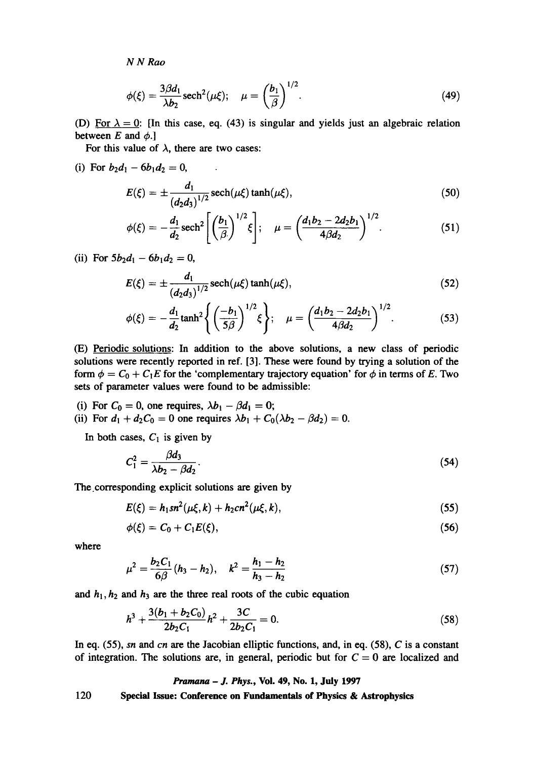$$
\phi(\xi) = \frac{3\beta d_1}{\lambda b_2} \operatorname{sech}^2(\mu \xi); \quad \mu = \left(\frac{b_1}{\beta}\right)^{1/2}.
$$
 (49)

(D) For  $\lambda = 0$ : [In this case, eq. (43) is singular and yields just an algebraic relation between  $E$  and  $\phi$ .]

For this value of  $\lambda$ , there are two cases:

 $\sim 10$ 

(i) For  $b_2d_1 - 6b_1d_2 = 0$ ,

$$
E(\xi) = \pm \frac{d_1}{(d_2 d_3)^{1/2}} \operatorname{sech}(\mu \xi) \tanh(\mu \xi), \tag{50}
$$

$$
\phi(\xi) = -\frac{d_1}{d_2} \operatorname{sech}^2 \left[ \left( \frac{b_1}{\beta} \right)^{1/2} \xi \right]; \quad \mu = \left( \frac{d_1 b_2 - 2 d_2 b_1}{4 \beta d_2} \right)^{1/2}.
$$
 (51)

(ii) For  $5b_2d_1 - 6b_1d_2 = 0$ ,

$$
E(\xi) = \pm \frac{d_1}{(d_2 d_3)^{1/2}} \operatorname{sech}(\mu \xi) \tanh(\mu \xi), \tag{52}
$$

$$
\phi(\xi) = -\frac{d_1}{d_2} \tanh^2 \left\{ \left( \frac{-b_1}{5\beta} \right)^{1/2} \xi \right\}; \quad \mu = \left( \frac{d_1b_2 - 2d_2b_1}{4\beta d_2} \right)^{1/2}.
$$
 (53)

(E) Periodic solutions: In addition to the above solutions, a new class of periodic solutions were recently reported in ref. [3]. These were found by trying a solution of the form  $\phi = C_0 + C_1E$  for the 'complementary trajectory equation' for  $\phi$  in terms of E. Two sets of parameter values were found to be admissible:

- (i) For  $C_0 = 0$ , one requires,  $\lambda b_1 \beta d_1 = 0$ ;
- (ii) For  $d_1 + d_2C_0 = 0$  one requires  $\lambda b_1 + C_0(\lambda b_2 \beta d_2) = 0$ .

In both cases,  $C_1$  is given by

$$
C_1^2 = \frac{\beta d_3}{\lambda b_2 - \beta d_2}.\tag{54}
$$

The.corresponding explicit solutions are given by

$$
E(\xi) = h_1 s n^2 (\mu \xi, k) + h_2 c n^2 (\mu \xi, k), \qquad (55)
$$

$$
\phi(\xi) = C_0 + C_1 E(\xi), \qquad (56)
$$

where

$$
\mu^2 = \frac{b_2 C_1}{6\beta} (h_3 - h_2), \quad k^2 = \frac{h_1 - h_2}{h_3 - h_2} \tag{57}
$$

and  $h_1$ ,  $h_2$  and  $h_3$  are the three real roots of the cubic equation

$$
h^3 + \frac{3(b_1 + b_2 C_0)}{2b_2 C_1} h^2 + \frac{3C}{2b_2 C_1} = 0.
$$
 (58)

In eq. (55), *sn and cn are the* Jacobian elliptic functions, and, in eq. (58), C is a constant of integration. The solutions are, in general, periodic but for  $C = 0$  are localized and

#### *Pramana - J. Phys.,* Vol. 49, No. 1, July 1997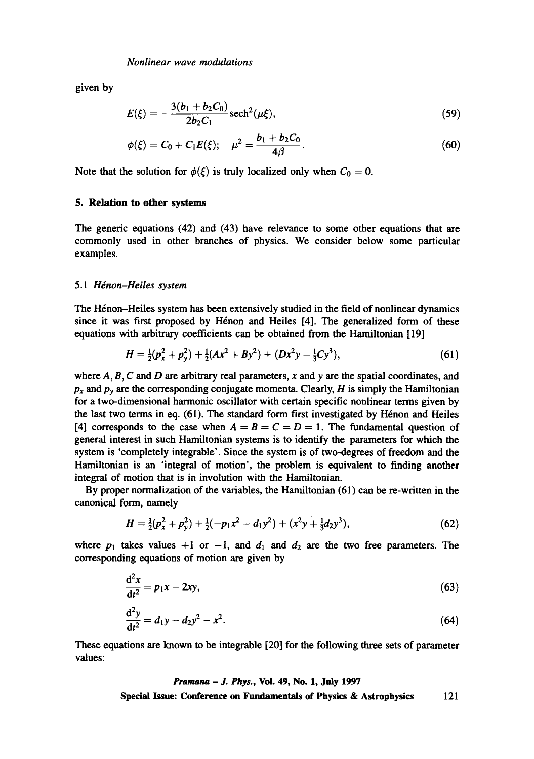given by

$$
E(\xi) = -\frac{3(b_1 + b_2 C_0)}{2b_2 C_1} \operatorname{sech}^2(\mu \xi), \tag{59}
$$

$$
\phi(\xi) = C_0 + C_1 E(\xi); \quad \mu^2 = \frac{b_1 + b_2 C_0}{4\beta}.
$$
 (60)

Note that the solution for  $\phi(\xi)$  is truly localized only when  $C_0 = 0$ .

### **5. Relation to other systems**

The generic equations (42) and (43) have relevance to some other equations that are commonly used in other branches of physics. We consider below some particular examples.

### 5.1 *Hénon-Heiles system*

The Hénon-Heiles system has been extensively studied in the field of nonlinear dynamics since it was first proposed by Hénon and Heiles [4]. The generalized form of these equations with arbitrary coefficients can be obtained from the Hamiltonian [19]

$$
H = \frac{1}{2}(p_x^2 + p_y^2) + \frac{1}{2}(Ax^2 + By^2) + (Dx^2y - \frac{1}{3}Cy^3),
$$
 (61)

where  $A, B, C$  and  $D$  are arbitrary real parameters, x and y are the spatial coordinates, and  $p_x$  and  $p_y$  are the corresponding conjugate momenta. Clearly, *H* is simply the Hamiltonian for a two-dimensional harmonic oscillator with certain specific nonlinear terms given by the last two terms in eq.  $(61)$ . The standard form first investigated by Hénon and Heiles [4] corresponds to the case when  $A = B = C = D = 1$ . The fundamental question of general interest in such Hamiltonian systems is to identify the parameters for which the system is 'completely integrable'. Since the system is of two-degrees of freedom and the Hamiltonian is an 'integral of motion', the problem is equivalent to finding another integral of motion that is in involution with the Hamiltonian.

By proper normalization of the variables, the Hamiltonian (61) can be re-written in the canonical form, namely

$$
H = \frac{1}{2}(p_x^2 + p_y^2) + \frac{1}{2}(-p_1x^2 - d_1y^2) + (x^2y + \frac{1}{3}d_2y^3),
$$
 (62)

where  $p_1$  takes values +1 or -1, and  $d_1$  and  $d_2$  are the two free parameters. The corresponding equations of motion are given by

$$
\frac{\mathrm{d}^2 x}{\mathrm{d}t^2} = p_1 x - 2xy,\tag{63}
$$

$$
\frac{d^2y}{dt^2} = d_1y - d_2y^2 - x^2.
$$
 (64)

These equations are known to be integrable [20] for the following three sets of parameter values:

> *Pramana - J. Phys.,* **Voi. 49, No. 1, July 1997 Special Issue: Conference on Fundamentals of Physics & Astrophysics** 121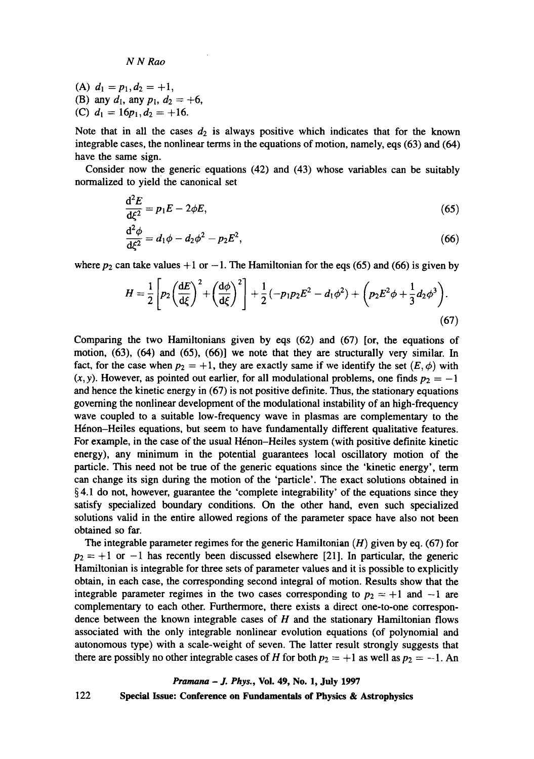(A)  $d_1 = p_1, d_2 = +1$ , (B) any  $d_1$ , any  $p_1$ ,  $d_2 = +6$ , (C)  $d_1 = 16p_1, d_2 = +16$ .

Note that in all the cases  $d_2$  is always positive which indicates that for the known integrable cases, the nonlinear terms in the equations of motion, namely, eqs (63) and (64) have the same sign.

Consider now the generic equations (42) and (43) whose variables can be suitably normalized to yield the canonical set

$$
\frac{\mathrm{d}^2 E}{\mathrm{d}\xi^2} = p_1 E - 2\phi E,\tag{65}
$$

$$
\frac{d^2\phi}{d\xi^2} = d_1\phi - d_2\phi^2 - p_2E^2,
$$
\t(66)

where  $p_2$  can take values  $+1$  or  $-1$ . The Hamiltonian for the eqs (65) and (66) is given by

$$
H = \frac{1}{2} \left[ p_2 \left( \frac{\mathrm{d}E}{\mathrm{d}\xi} \right)^2 + \left( \frac{\mathrm{d}\phi}{\mathrm{d}\xi} \right)^2 \right] + \frac{1}{2} \left( -p_1 p_2 E^2 - d_1 \phi^2 \right) + \left( p_2 E^2 \phi + \frac{1}{3} d_2 \phi^3 \right). \tag{67}
$$

Comparing the two Hamiltonians given by eqs (62) and (67) [or, the equations of motion, (63), (64) and (65), (66)] we note that they are structurally very similar. In fact, for the case when  $p_2 = +1$ , they are exactly same if we identify the set  $(E, \phi)$  with  $(x, y)$ . However, as pointed out earlier, for all modulational problems, one finds  $p_2 = -1$ and hence the kinetic energy in (67) is not positive definite. Thus, the stationary equations governing the nonlinear development of the modulational instability of an high-frequency wave coupled to a suitable low-frequency wave in plasmas are complementary to the Hénon-Heiles equations, but seem to have fundamentally different qualitative features. For example, in the case of the usual Hénon-Heiles system (with positive definite kinetic energy), any minimum in the potential guarantees local oscillatory motion of the particle. This need not be true of the generic equations since the 'kinetic energy', term can change its sign during the motion of the 'particle'. The exact solutions obtained in § 4.1 do not, however, guarantee the 'complete integrability' of the equations since they satisfy specialized boundary conditions. On the other hand, even such specialized solutions valid in the entire allowed regions of the parameter space have also not been obtained so far.

The integrable parameter regimes for the generic Hamiltonian  $(H)$  given by eq. (67) for  $p_2 = +1$  or  $-1$  has recently been discussed elsewhere [21]. In particular, the generic Hamiltonian is integrable for three sets of parameter values and it is possible to explicitly obtain, in each case, the corresponding second integral of motion. Results show that the integrable parameter regimes in the two cases corresponding to  $p_2 = +1$  and  $-1$  are complementary to each other. Furthermore, there exists a direct one-to-one correspondence between the known integrable cases of  $H$  and the stationary Hamiltonian flows associated with the only integrable nonlinear evolution equations (of polynomial and autonomous type) with a scale-weight of seven. The latter result strongly suggests that there are possibly no other integrable cases of H for both  $p_2 = +1$  as well as  $p_2 = -1$ . An

*Pramana - J. Phys.,* **Vol. 49, No. 1, July 1997**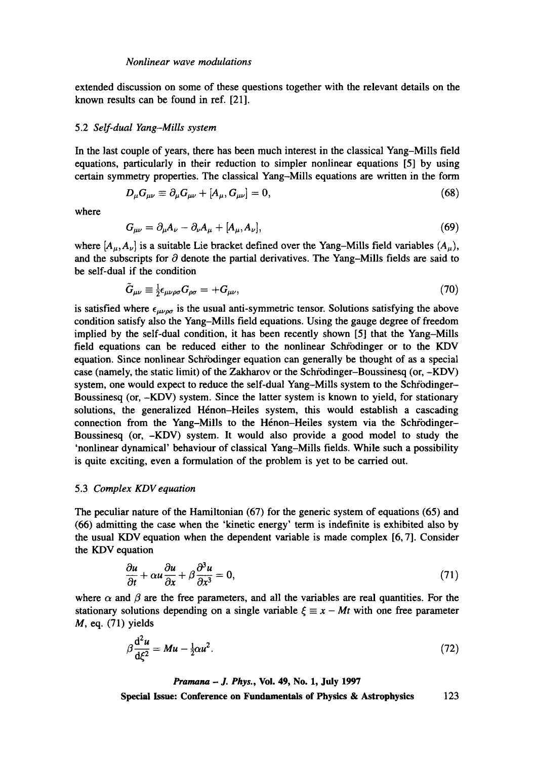extended discussion on some of these questions together with the relevant details on the known results can be found in ref. [21].

### 5.2 *Self-dual Yang-Mills system*

In the last couple of years, there has been much interest in the classical Yang-Mills field equations, particularly in their reduction to simpler nonlinear equations [5] by using certain symmetry properties. The classical Yang-Mills equations are written in the form

$$
D_{\mu}G_{\mu\nu} \equiv \partial_{\mu}G_{\mu\nu} + [A_{\mu}, G_{\mu\nu}] = 0, \qquad (68)
$$

where

$$
G_{\mu\nu} = \partial_{\mu}A_{\nu} - \partial_{\nu}A_{\mu} + [A_{\mu}, A_{\nu}], \qquad (69)
$$

where  $[A_\mu, A_\nu]$  is a suitable Lie bracket defined over the Yang-Mills field variables  $(A_\mu)$ , and the subscripts for  $\partial$  denote the partial derivatives. The Yang-Mills fields are said to be self-dual if the condition

$$
\tilde{G}_{\mu\nu} \equiv \frac{1}{2} \epsilon_{\mu\nu\rho\sigma} G_{\rho\sigma} = + G_{\mu\nu},\tag{70}
$$

is satisfied where  $\epsilon_{\mu\nu\rho\sigma}$  is the usual anti-symmetric tensor. Solutions satisfying the above condition satisfy also the Yang-Mills field equations. Using the gauge degree of freedom implied by the self-dual condition, it has been recently shown [5] that the Yang-Mills field equations can be reduced either to the nonlinear Schrödinger or to the KDV equation. Since nonlinear Schrödinger equation can generally be thought of as a special case (namely, the static limit) of the Zakharov or the Schrödinger-Boussinesq (or, -KDV) system, one would expect to reduce the self-dual Yang-Mills system to the Schrödinger-Boussinesq (or, -KDV) system. Since the latter system is known to yield, for stationary solutions, the generalized Hénon-Heiles system, this would establish a cascading connection from the Yang-Mills to the Hénon-Heiles system via the Schrödinger-Boussinesq (or, -KDV) system. It would also provide a good model to study the 'nonlinear dynamical' behaviour of classical Yang-Mills fields. While such a possibility is quite exciting, even a formulation of the problem is yet to be carried out.

### 5.3 *Complex KDV equation*

The peculiar nature of the Hamiltonian (67) for the generic system of equations (65) and (66) admitting the case when the 'kinetic energy' term is indefinite is exhibited also by the usual KDV equation when the dependent variable is made complex [6, 7]. Consider the KDV equation

$$
\frac{\partial u}{\partial t} + \alpha u \frac{\partial u}{\partial x} + \beta \frac{\partial^3 u}{\partial x^3} = 0, \tag{71}
$$

where  $\alpha$  and  $\beta$  are the free parameters, and all the variables are real quantities. For the stationary solutions depending on a single variable  $\xi \equiv x - Mt$  with one free parameter  $M$ , eq. (71) yields

$$
\beta \frac{\mathrm{d}^2 u}{\mathrm{d}\xi^2} = M u - \frac{1}{2} \alpha u^2. \tag{72}
$$

*Pramana - J. Phys.,* **Vol. 49, No. 1, July 1997**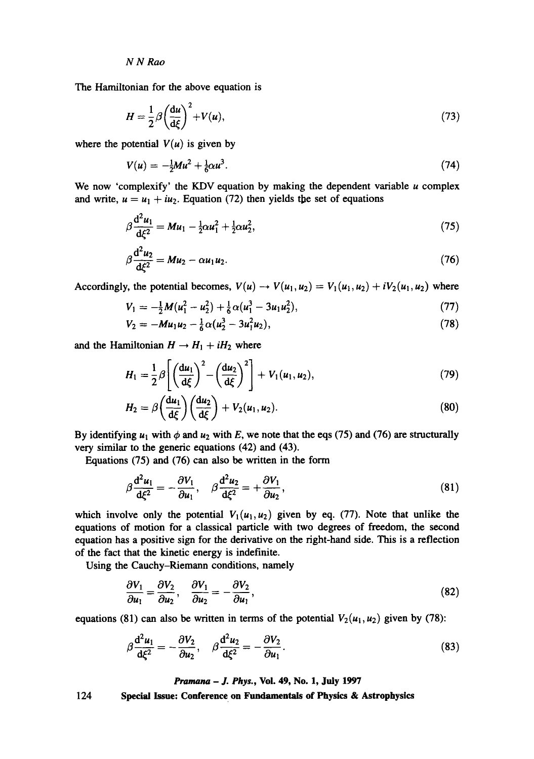The Hamiltonian for the above equation is

$$
H = \frac{1}{2}\beta \left(\frac{\mathrm{d}u}{\mathrm{d}\xi}\right)^2 + V(u),\tag{73}
$$

where the potential  $V(u)$  is given by

$$
V(u) = -\frac{1}{2}Mu^2 + \frac{1}{6}\alpha u^3. \tag{74}
$$

We now 'complexify' the KDV equation by making the dependent variable  $u$  complex and write,  $u = u_1 + iu_2$ . Equation (72) then yields the set of equations

$$
\beta \frac{d^2 u_1}{d \zeta^2} = M u_1 - \frac{1}{2} \alpha u_1^2 + \frac{1}{2} \alpha u_2^2, \tag{75}
$$

$$
\beta \frac{d^2 u_2}{d \xi^2} = M u_2 - \alpha u_1 u_2. \tag{76}
$$

Accordingly, the potential becomes,  $V(u) \rightarrow V(u_1, u_2) = V_1(u_1, u_2) + iV_2(u_1, u_2)$  where

$$
V_1 = -\frac{1}{2}M(u_1^2 - u_2^2) + \frac{1}{6}\alpha(u_1^3 - 3u_1u_2^2),
$$
\n(77)

$$
V_2 = -M u_1 u_2 - \frac{1}{6} \alpha (u_2^3 - 3u_1^2 u_2), \qquad (78)
$$

and the Hamiltonian  $H \rightarrow H_1 + iH_2$  where

$$
H_1 = \frac{1}{2}\beta \left[ \left( \frac{\mathrm{d}u_1}{\mathrm{d}\xi} \right)^2 - \left( \frac{\mathrm{d}u_2}{\mathrm{d}\xi} \right)^2 \right] + V_1(u_1, u_2), \tag{79}
$$

$$
H_2 = \beta \left(\frac{\mathrm{d}u_1}{\mathrm{d}\xi}\right) \left(\frac{\mathrm{d}u_2}{\mathrm{d}\xi}\right) + V_2(u_1, u_2). \tag{80}
$$

very similar to the generic equations  $(42)$  and  $(43)$ . By identifying  $u_1$  with  $\phi$  and  $u_2$  with E, we note that the eqs (75) and (76) are structurally

Equations (75) and (76) can also be written in the form

$$
\beta \frac{\mathrm{d}^2 u_1}{\mathrm{d}\xi^2} = -\frac{\partial V_1}{\partial u_1}, \quad \beta \frac{\mathrm{d}^2 u_2}{\mathrm{d}\xi^2} = +\frac{\partial V_1}{\partial u_2},\tag{81}
$$

which involve only the potential  $V_1(u_1, u_2)$  given by eq. (77). Note that unlike the equations of motion for a classical particle with two degrees of freedom, the second equation has a positive sign for the derivative on the tight-hand side. This is a reflection of the fact that the kinetic energy is indefinite.

Using the Cauchy-Riemann conditions, namely

$$
\frac{\partial V_1}{\partial u_1} = \frac{\partial V_2}{\partial u_2}, \quad \frac{\partial V_1}{\partial u_2} = -\frac{\partial V_2}{\partial u_1},\tag{82}
$$

equations (81) can also be written in terms of the potential  $V_2(u_1, u_2)$  given by (78):

$$
\beta \frac{\mathrm{d}^2 u_1}{\mathrm{d}\xi^2} = -\frac{\partial V_2}{\partial u_2}, \quad \beta \frac{\mathrm{d}^2 u_2}{\mathrm{d}\xi^2} = -\frac{\partial V_2}{\partial u_1}.
$$
\n(83)

*Pramana - J. Phys.,* Vol. 49, No. 1, July 1997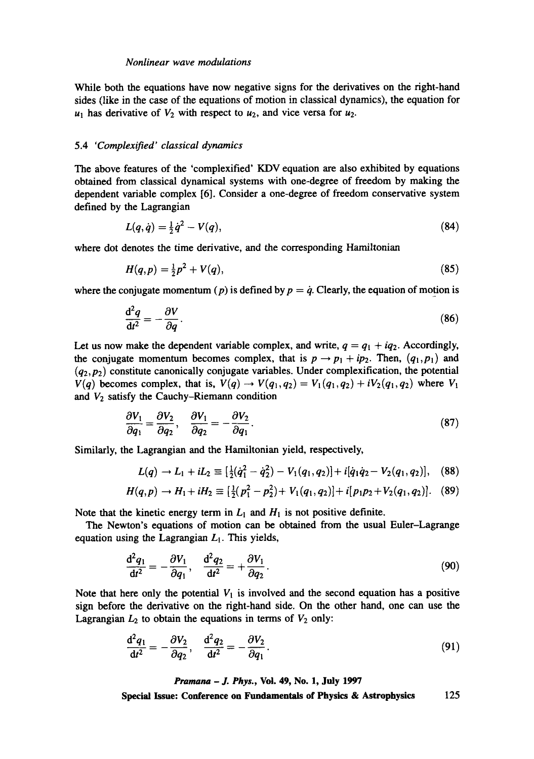While both the equations have now negative signs for the derivatives on the right-hand sides (like in the case of the equations of motion in classical dynamics), the equation for  $u_1$  has derivative of  $V_2$  with respect to  $u_2$ , and vice versa for  $u_2$ .

# 5.4 *'Complexified' classical dynamics*

The above features of the 'complexified' KDV equation are also exhibited by equations obtained from classical dynamical systems with one-degree of freedom by making the dependent variable complex [6]. Consider a one-degree of freedom conservative system defined by the Lagrangian

$$
L(q, \dot{q}) = \frac{1}{2} \dot{q}^2 - V(q), \tag{84}
$$

where dot denotes the time derivative, and the corresponding Hamiltonian

$$
H(q,p) = \frac{1}{2}p^2 + V(q),
$$
\n(85)

where the conjugate momentum (p) is defined by  $p = \dot{q}$ . Clearly, the equation of motion is

$$
\frac{\mathrm{d}^2 q}{\mathrm{d}t^2} = -\frac{\partial V}{\partial q}.\tag{86}
$$

Let us now make the dependent variable complex, and write,  $q = q_1 + iq_2$ . Accordingly, the conjugate momentum becomes complex, that is  $p \rightarrow p_1 + ip_2$ . Then,  $(q_1, p_1)$  and  $(q_2, p_2)$  constitute canonically conjugate variables. Under complexification, the potential  $V(q)$  becomes complex, that is,  $V(q) \rightarrow V(q_1,q_2) = V_1(q_1,q_2) + iV_2(q_1,q_2)$  where  $V_1$ and  $V_2$  satisfy the Cauchy-Riemann condition

$$
\frac{\partial V_1}{\partial q_1} = \frac{\partial V_2}{\partial q_2}, \quad \frac{\partial V_1}{\partial q_2} = -\frac{\partial V_2}{\partial q_1}.
$$
\n(87)

Similarly, the Lagrangian and the Hamiltonian yield, respectively,

$$
L(q) \to L_1 + iL_2 \equiv \left[\frac{1}{2}(\dot{q}_1^2 - \dot{q}_2^2) - V_1(q_1, q_2)\right] + i[\dot{q}_1\dot{q}_2 - V_2(q_1, q_2)], \quad (88)
$$

$$
H(q,p) \to H_1 + iH_2 \equiv \left[\frac{1}{2}(p_1^2 - p_2^2) + V_1(q_1,q_2)\right] + i[p_1p_2 + V_2(q_1,q_2)]. \quad (89)
$$

Note that the kinetic energy term in  $L_1$  and  $H_1$  is not positive definite.

The Newton's equations of motion can be obtained from the usual Euler-Lagrange equation using the Lagrangian  $L<sub>1</sub>$ . This yields,

$$
\frac{\mathrm{d}^2 q_1}{\mathrm{d}t^2} = -\frac{\partial V_1}{\partial q_1}, \quad \frac{\mathrm{d}^2 q_2}{\mathrm{d}t^2} = +\frac{\partial V_1}{\partial q_2}.
$$
\n(90)

Note that here only the potential  $V_1$  is involved and the second equation has a positive sign before the derivative on the right-hand side. On the other hand, one can use the Lagrangian  $L_2$  to obtain the equations in terms of  $V_2$  only:

$$
\frac{\mathrm{d}^2 q_1}{\mathrm{d}t^2} = -\frac{\partial V_2}{\partial q_2}, \quad \frac{\mathrm{d}^2 q_2}{\mathrm{d}t^2} = -\frac{\partial V_2}{\partial q_1}.\tag{91}
$$

*Pramana - J. Phys.,* **Vol. 49, No. 1, July 1997**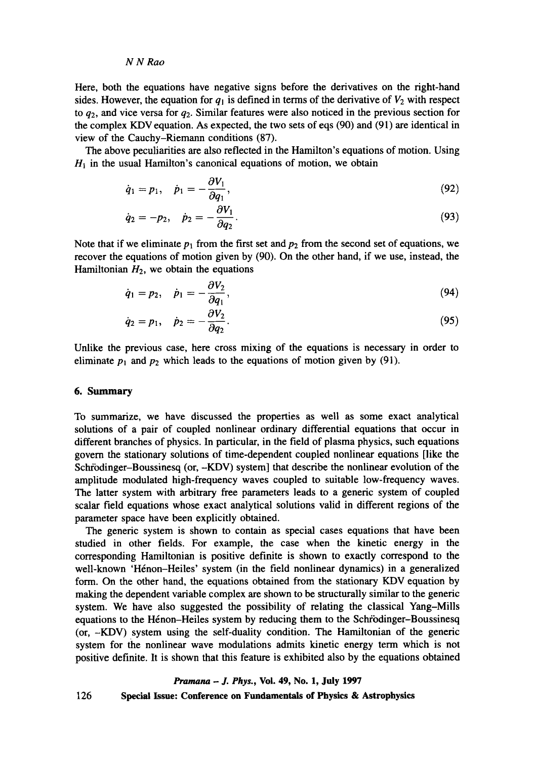Here, both the equations have negative signs before the derivatives on the tight-hand sides. However, the equation for  $q_1$  is defined in terms of the derivative of  $V_2$  with respect to  $q_2$ , and vice versa for  $q_2$ . Similar features were also noticed in the previous section for the complex KDV equation. As expected, the two sets of eqs (90) and (91) are identical in view of the Cauchy-Riemann conditions (87).

The above peculiarities are also reflected in the Hamilton's equations of motion. Using  $H<sub>1</sub>$  in the usual Hamilton's canonical equations of motion, we obtain

$$
\dot{q}_1 = p_1, \quad \dot{p}_1 = -\frac{\partial V_1}{\partial q_1},\tag{92}
$$

$$
\dot{q}_2 = -p_2, \quad \dot{p}_2 = -\frac{\partial V_1}{\partial q_2}.\tag{93}
$$

Note that if we eliminate  $p_1$  from the first set and  $p_2$  from the second set of equations, we recover the equations of motion given by (90). On the other hand, if we use, instead, the Hamiltonian  $H_2$ , we obtain the equations

$$
\dot{q}_1 = p_2, \quad \dot{p}_1 = -\frac{\partial V_2}{\partial q_1}, \tag{94}
$$

$$
\dot{q}_2 = p_1, \quad \dot{p}_2 = -\frac{\partial V_2}{\partial q_2}.\tag{95}
$$

Unlike the previous case, here cross mixing of the equations is necessary in order to eliminate  $p_1$  and  $p_2$  which leads to the equations of motion given by (91).

# **6. Summary**

To summarize, we have discussed the properties as well as some exact analytical solutions of a pair of coupled nonlinear ordinary differential equations that occur in different branches of physics. In particular, in the field of plasma physics, such equations govern the stationary solutions of time-dependent coupled nonlinear equations [like the Schfodinger-Boussinesq (or, -KDV) system] that describe the nonlinear evolution of the amplitude modulated high-frequency waves coupled to suitable low-frequency waves. The latter system with arbitrary free parameters leads to a generic system of coupled scalar field equations whose exact analytical solutions valid in different regions of the parameter space have been explicitly obtained.

The generic system is shown to contain as special cases equations that have been studied in other fields. For example, the case when the kinetic energy in the corresponding Hamiltonian is positive definite is shown to exactly correspond to the well-known 'Hénon-Heiles' system (in the field nonlinear dynamics) in a generalized form. On the other hand, the equations obtained from the stationary KDV equation by making the dependent variable complex are shown to be structurally similar to the genetic system. We have also suggested the possibility of relating the classical Yang-Mills equations to the Hénon-Heiles system by reducing them to the Schrodinger-Boussinesq (or, -KDV) system using the self-duality condition. The Hamiltonian of the genetic system for the nonlinear wave modulations admits kinetic energy term which is not positive definite. It is shown that this feature is exhibited also by the equations obtained

#### *Pramana - J. Phys.,* Voi. 49, No. 1, July 1997